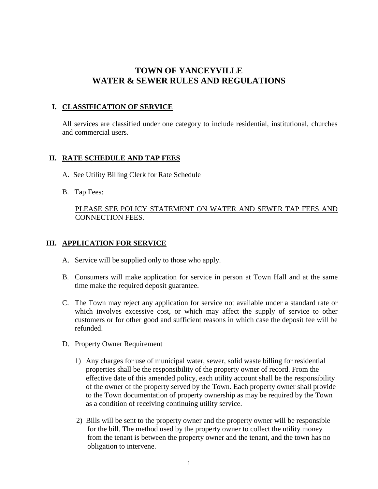# **TOWN OF YANCEYVILLE WATER & SEWER RULES AND REGULATIONS**

# **I. CLASSIFICATION OF SERVICE**

All services are classified under one category to include residential, institutional, churches and commercial users.

#### **II. RATE SCHEDULE AND TAP FEES**

- A. See Utility Billing Clerk for Rate Schedule
- B. Tap Fees:

### PLEASE SEE POLICY STATEMENT ON WATER AND SEWER TAP FEES AND CONNECTION FEES.

### **III. APPLICATION FOR SERVICE**

- A. Service will be supplied only to those who apply.
- B. Consumers will make application for service in person at Town Hall and at the same time make the required deposit guarantee.
- C. The Town may reject any application for service not available under a standard rate or which involves excessive cost, or which may affect the supply of service to other customers or for other good and sufficient reasons in which case the deposit fee will be refunded.
- D. Property Owner Requirement
	- 1) Any charges for use of municipal water, sewer, solid waste billing for residential properties shall be the responsibility of the property owner of record. From the effective date of this amended policy, each utility account shall be the responsibility of the owner of the property served by the Town. Each property owner shall provide to the Town documentation of property ownership as may be required by the Town as a condition of receiving continuing utility service.
	- 2) Bills will be sent to the property owner and the property owner will be responsible for the bill. The method used by the property owner to collect the utility money from the tenant is between the property owner and the tenant, and the town has no obligation to intervene.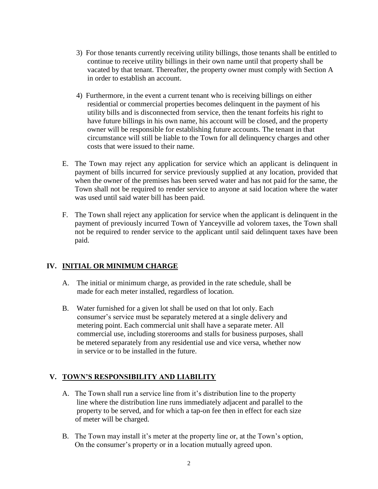- 3) For those tenants currently receiving utility billings, those tenants shall be entitled to continue to receive utility billings in their own name until that property shall be vacated by that tenant. Thereafter, the property owner must comply with Section A in order to establish an account.
- 4) Furthermore, in the event a current tenant who is receiving billings on either residential or commercial properties becomes delinquent in the payment of his utility bills and is disconnected from service, then the tenant forfeits his right to have future billings in his own name, his account will be closed, and the property owner will be responsible for establishing future accounts. The tenant in that circumstance will still be liable to the Town for all delinquency charges and other costs that were issued to their name.
- E. The Town may reject any application for service which an applicant is delinquent in payment of bills incurred for service previously supplied at any location, provided that when the owner of the premises has been served water and has not paid for the same, the Town shall not be required to render service to anyone at said location where the water was used until said water bill has been paid.
- F. The Town shall reject any application for service when the applicant is delinquent in the payment of previously incurred Town of Yanceyville ad volorem taxes, the Town shall not be required to render service to the applicant until said delinquent taxes have been paid.

# **IV. INITIAL OR MINIMUM CHARGE**

- A. The initial or minimum charge, as provided in the rate schedule, shall be made for each meter installed, regardless of location.
- B. Water furnished for a given lot shall be used on that lot only. Each consumer's service must be separately metered at a single delivery and metering point. Each commercial unit shall have a separate meter. All commercial use, including storerooms and stalls for business purposes, shall be metered separately from any residential use and vice versa, whether now in service or to be installed in the future.

# **V. TOWN'S RESPONSIBILITY AND LIABILITY**

- A. The Town shall run a service line from it's distribution line to the property line where the distribution line runs immediately adjacent and parallel to the property to be served, and for which a tap-on fee then in effect for each size of meter will be charged.
- B. The Town may install it's meter at the property line or, at the Town's option, On the consumer's property or in a location mutually agreed upon.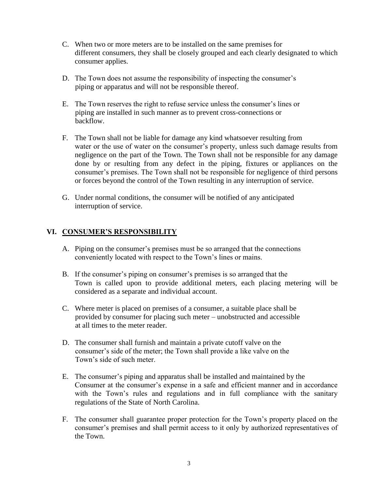- C. When two or more meters are to be installed on the same premises for different consumers, they shall be closely grouped and each clearly designated to which consumer applies.
- D. The Town does not assume the responsibility of inspecting the consumer's piping or apparatus and will not be responsible thereof.
- E. The Town reserves the right to refuse service unless the consumer's lines or piping are installed in such manner as to prevent cross-connections or backflow.
- F. The Town shall not be liable for damage any kind whatsoever resulting from water or the use of water on the consumer's property, unless such damage results from negligence on the part of the Town. The Town shall not be responsible for any damage done by or resulting from any defect in the piping, fixtures or appliances on the consumer's premises. The Town shall not be responsible for negligence of third persons or forces beyond the control of the Town resulting in any interruption of service.
- G. Under normal conditions, the consumer will be notified of any anticipated interruption of service.

# **VI. CONSUMER'S RESPONSIBILITY**

- A. Piping on the consumer's premises must be so arranged that the connections conveniently located with respect to the Town's lines or mains.
- B. If the consumer's piping on consumer's premises is so arranged that the Town is called upon to provide additional meters, each placing metering will be considered as a separate and individual account.
- C. Where meter is placed on premises of a consumer, a suitable place shall be provided by consumer for placing such meter – unobstructed and accessible at all times to the meter reader.
- D. The consumer shall furnish and maintain a private cutoff valve on the consumer's side of the meter; the Town shall provide a like valve on the Town's side of such meter.
- E. The consumer's piping and apparatus shall be installed and maintained by the Consumer at the consumer's expense in a safe and efficient manner and in accordance with the Town's rules and regulations and in full compliance with the sanitary regulations of the State of North Carolina.
- F. The consumer shall guarantee proper protection for the Town's property placed on the consumer's premises and shall permit access to it only by authorized representatives of the Town.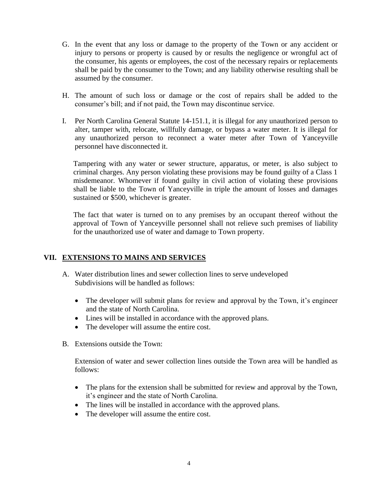- G. In the event that any loss or damage to the property of the Town or any accident or injury to persons or property is caused by or results the negligence or wrongful act of the consumer, his agents or employees, the cost of the necessary repairs or replacements shall be paid by the consumer to the Town; and any liability otherwise resulting shall be assumed by the consumer.
- H. The amount of such loss or damage or the cost of repairs shall be added to the consumer's bill; and if not paid, the Town may discontinue service.
- I. Per North Carolina General Statute 14-151.1, it is illegal for any unauthorized person to alter, tamper with, relocate, willfully damage, or bypass a water meter. It is illegal for any unauthorized person to reconnect a water meter after Town of Yanceyville personnel have disconnected it.

Tampering with any water or sewer structure, apparatus, or meter, is also subject to criminal charges. Any person violating these provisions may be found guilty of a Class 1 misdemeanor. Whomever if found guilty in civil action of violating these provisions shall be liable to the Town of Yanceyville in triple the amount of losses and damages sustained or \$500, whichever is greater.

The fact that water is turned on to any premises by an occupant thereof without the approval of Town of Yanceyville personnel shall not relieve such premises of liability for the unauthorized use of water and damage to Town property.

#### **VII. EXTENSIONS TO MAINS AND SERVICES**

- A. Water distribution lines and sewer collection lines to serve undeveloped Subdivisions will be handled as follows:
	- The developer will submit plans for review and approval by the Town, it's engineer and the state of North Carolina.
	- Lines will be installed in accordance with the approved plans.
	- The developer will assume the entire cost.
- B. Extensions outside the Town:

Extension of water and sewer collection lines outside the Town area will be handled as follows:

- The plans for the extension shall be submitted for review and approval by the Town, it's engineer and the state of North Carolina.
- The lines will be installed in accordance with the approved plans.
- The developer will assume the entire cost.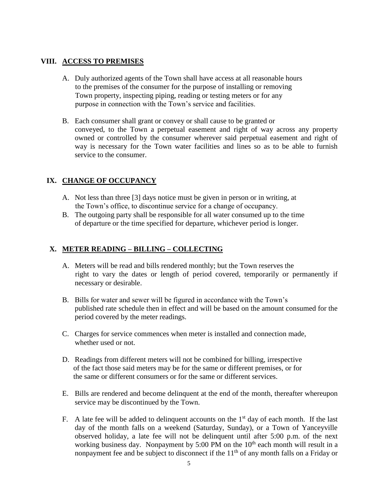#### **VIII. ACCESS TO PREMISES**

- A. Duly authorized agents of the Town shall have access at all reasonable hours to the premises of the consumer for the purpose of installing or removing Town property, inspecting piping, reading or testing meters or for any purpose in connection with the Town's service and facilities.
- B. Each consumer shall grant or convey or shall cause to be granted or conveyed, to the Town a perpetual easement and right of way across any property owned or controlled by the consumer wherever said perpetual easement and right of way is necessary for the Town water facilities and lines so as to be able to furnish service to the consumer.

# **IX. CHANGE OF OCCUPANCY**

- A. Not less than three [3] days notice must be given in person or in writing, at the Town's office, to discontinue service for a change of occupancy.
- B. The outgoing party shall be responsible for all water consumed up to the time of departure or the time specified for departure, whichever period is longer.

#### **X. METER READING – BILLING – COLLECTING**

- A. Meters will be read and bills rendered monthly; but the Town reserves the right to vary the dates or length of period covered, temporarily or permanently if necessary or desirable.
- B. Bills for water and sewer will be figured in accordance with the Town's published rate schedule then in effect and will be based on the amount consumed for the period covered by the meter readings.
- C. Charges for service commences when meter is installed and connection made, whether used or not.
- D. Readings from different meters will not be combined for billing, irrespective of the fact those said meters may be for the same or different premises, or for the same or different consumers or for the same or different services.
- E. Bills are rendered and become delinquent at the end of the month, thereafter whereupon service may be discontinued by the Town.
- F. A late fee will be added to delinquent accounts on the  $1<sup>st</sup>$  day of each month. If the last day of the month falls on a weekend (Saturday, Sunday), or a Town of Yanceyville observed holiday, a late fee will not be delinquent until after 5:00 p.m. of the next working business day. Nonpayment by  $5:00 \text{ PM}$  on the  $10^{\text{th}}$  each month will result in a nonpayment fee and be subject to disconnect if the  $11<sup>th</sup>$  of any month falls on a Friday or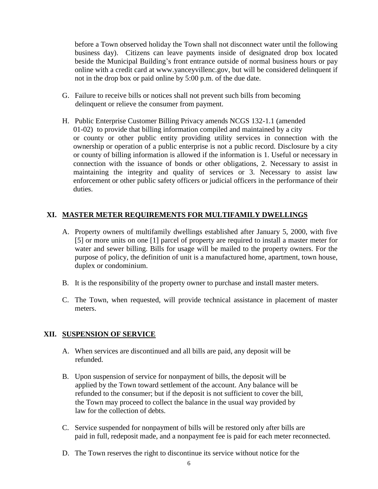before a Town observed holiday the Town shall not disconnect water until the following business day). Citizens can leave payments inside of designated drop box located beside the Municipal Building's front entrance outside of normal business hours or pay online with a credit card at www.yanceyvillenc.gov, but will be considered delinquent if not in the drop box or paid online by 5:00 p.m. of the due date.

- G. Failure to receive bills or notices shall not prevent such bills from becoming delinquent or relieve the consumer from payment.
- H. Public Enterprise Customer Billing Privacy amends NCGS 132-1.1 (amended 01-02) to provide that billing information compiled and maintained by a city or county or other public entity providing utility services in connection with the ownership or operation of a public enterprise is not a public record. Disclosure by a city or county of billing information is allowed if the information is 1. Useful or necessary in connection with the issuance of bonds or other obligations, 2. Necessary to assist in maintaining the integrity and quality of services or 3. Necessary to assist law enforcement or other public safety officers or judicial officers in the performance of their duties.

#### **XI. MASTER METER REQUIREMENTS FOR MULTIFAMILY DWELLINGS**

- A. Property owners of multifamily dwellings established after January 5, 2000, with five [5] or more units on one [1] parcel of property are required to install a master meter for water and sewer billing. Bills for usage will be mailed to the property owners. For the purpose of policy, the definition of unit is a manufactured home, apartment, town house, duplex or condominium.
- B. It is the responsibility of the property owner to purchase and install master meters.
- C. The Town, when requested, will provide technical assistance in placement of master meters.

#### **XII. SUSPENSION OF SERVICE**

- A. When services are discontinued and all bills are paid, any deposit will be refunded.
- B. Upon suspension of service for nonpayment of bills, the deposit will be applied by the Town toward settlement of the account. Any balance will be refunded to the consumer; but if the deposit is not sufficient to cover the bill, the Town may proceed to collect the balance in the usual way provided by law for the collection of debts.
- C. Service suspended for nonpayment of bills will be restored only after bills are paid in full, redeposit made, and a nonpayment fee is paid for each meter reconnected.
- D. The Town reserves the right to discontinue its service without notice for the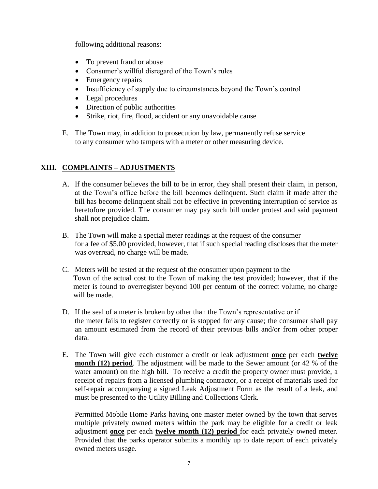following additional reasons:

- To prevent fraud or abuse
- Consumer's willful disregard of the Town's rules
- Emergency repairs
- Insufficiency of supply due to circumstances beyond the Town's control
- Legal procedures
- Direction of public authorities
- Strike, riot, fire, flood, accident or any unavoidable cause
- E. The Town may, in addition to prosecution by law, permanently refuse service to any consumer who tampers with a meter or other measuring device.

# **XIII. COMPLAINTS – ADJUSTMENTS**

- A. If the consumer believes the bill to be in error, they shall present their claim, in person, at the Town's office before the bill becomes delinquent. Such claim if made after the bill has become delinquent shall not be effective in preventing interruption of service as heretofore provided. The consumer may pay such bill under protest and said payment shall not prejudice claim.
- B. The Town will make a special meter readings at the request of the consumer for a fee of \$5.00 provided, however, that if such special reading discloses that the meter was overread, no charge will be made.
- C. Meters will be tested at the request of the consumer upon payment to the Town of the actual cost to the Town of making the test provided; however, that if the meter is found to overregister beyond 100 per centum of the correct volume, no charge will be made.
- D. If the seal of a meter is broken by other than the Town's representative or if the meter fails to register correctly or is stopped for any cause; the consumer shall pay an amount estimated from the record of their previous bills and/or from other proper data.
- E. The Town will give each customer a credit or leak adjustment **once** per each **twelve month (12) period**. The adjustment will be made to the Sewer amount (or 42 % of the water amount) on the high bill. To receive a credit the property owner must provide, a receipt of repairs from a licensed plumbing contractor, or a receipt of materials used for self-repair accompanying a signed Leak Adjustment Form as the result of a leak, and must be presented to the Utility Billing and Collections Clerk.

Permitted Mobile Home Parks having one master meter owned by the town that serves multiple privately owned meters within the park may be eligible for a credit or leak adjustment **once** per each **twelve month (12) period** for each privately owned meter. Provided that the parks operator submits a monthly up to date report of each privately owned meters usage.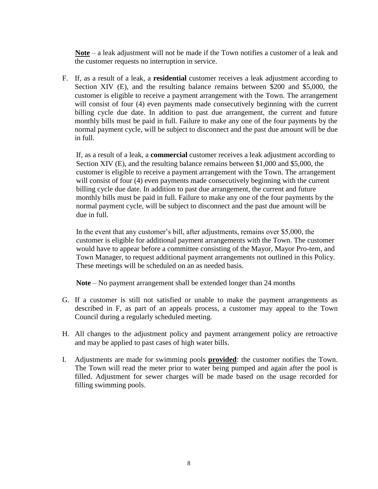**Note** – a leak adjustment will not be made if the Town notifies a customer of a leak and the customer requests no interruption in service.

F. If, as a result of a leak, a **residential** customer receives a leak adjustment according to Section XIV (E), and the resulting balance remains between \$200 and \$5,000, the customer is eligible to receive a payment arrangement with the Town. The arrangement will consist of four (4) even payments made consecutively beginning with the current billing cycle due date. In addition to past due arrangement, the current and future monthly bills must be paid in full. Failure to make any one of the four payments by the normal payment cycle, will be subject to disconnect and the past due amount will be due in full.

If, as a result of a leak, a **commercial** customer receives a leak adjustment according to Section XIV (E), and the resulting balance remains between \$1,000 and \$5,000, the customer is eligible to receive a payment arrangement with the Town. The arrangement will consist of four (4) even payments made consecutively beginning with the current billing cycle due date. In addition to past due arrangement, the current and future monthly bills must be paid in full. Failure to make any one of the four payments by the normal payment cycle, will be subject to disconnect and the past due amount will be due in full.

In the event that any customer's bill, after adjustments, remains over \$5,000, the customer is eligible for additional payment arrangements with the Town. The customer would have to appear before a committee consisting of the Mayor, Mayor Pro-tem, and Town Manager, to request additional payment arrangements not outlined in this Policy. These meetings will be scheduled on an as needed basis.

**Note** – No payment arrangement shall be extended longer than 24 months

- G. If a customer is still not satisfied or unable to make the payment arrangements as described in F, as part of an appeals process, a customer may appeal to the Town Council during a regularly scheduled meeting.
- H. All changes to the adjustment policy and payment arrangement policy are retroactive and may be applied to past cases of high water bills.
- I. Adjustments are made for swimming pools **provided**: the customer notifies the Town. The Town will read the meter prior to water being pumped and again after the pool is filled. Adjustment for sewer charges will be made based on the usage recorded for filling swimming pools.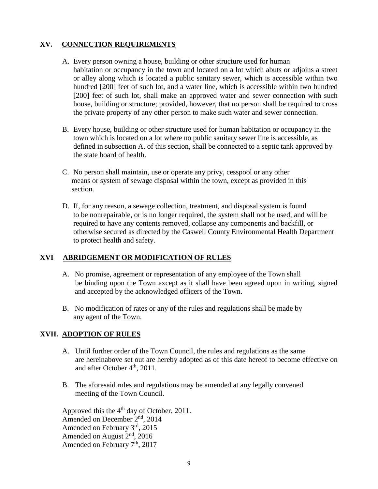# **XV. CONNECTION REQUIREMENTS**

- A. Every person owning a house, building or other structure used for human habitation or occupancy in the town and located on a lot which abuts or adjoins a street or alley along which is located a public sanitary sewer, which is accessible within two hundred [200] feet of such lot, and a water line, which is accessible within two hundred [200] feet of such lot, shall make an approved water and sewer connection with such house, building or structure; provided, however, that no person shall be required to cross the private property of any other person to make such water and sewer connection.
- B. Every house, building or other structure used for human habitation or occupancy in the town which is located on a lot where no public sanitary sewer line is accessible, as defined in subsection A. of this section, shall be connected to a septic tank approved by the state board of health.
- C. No person shall maintain, use or operate any privy, cesspool or any other means or system of sewage disposal within the town, except as provided in this section.
- D. If, for any reason, a sewage collection, treatment, and disposal system is found to be nonrepairable, or is no longer required, the system shall not be used, and will be required to have any contents removed, collapse any components and backfill, or otherwise secured as directed by the Caswell County Environmental Health Department to protect health and safety.

#### **XVI ABRIDGEMENT OR MODIFICATION OF RULES**

- A. No promise, agreement or representation of any employee of the Town shall be binding upon the Town except as it shall have been agreed upon in writing, signed and accepted by the acknowledged officers of the Town.
- B. No modification of rates or any of the rules and regulations shall be made by any agent of the Town.

#### **XVII. ADOPTION OF RULES**

- A. Until further order of the Town Council, the rules and regulations as the same are hereinabove set out are hereby adopted as of this date hereof to become effective on and after October 4<sup>th</sup>, 2011.
- B. The aforesaid rules and regulations may be amended at any legally convened meeting of the Town Council.

Approved this the 4<sup>th</sup> day of October, 2011. Amended on December 2<sup>nd</sup>, 2014 Amended on February 3rd, 2015 Amended on August 2nd, 2016 Amended on February 7<sup>th</sup>, 2017